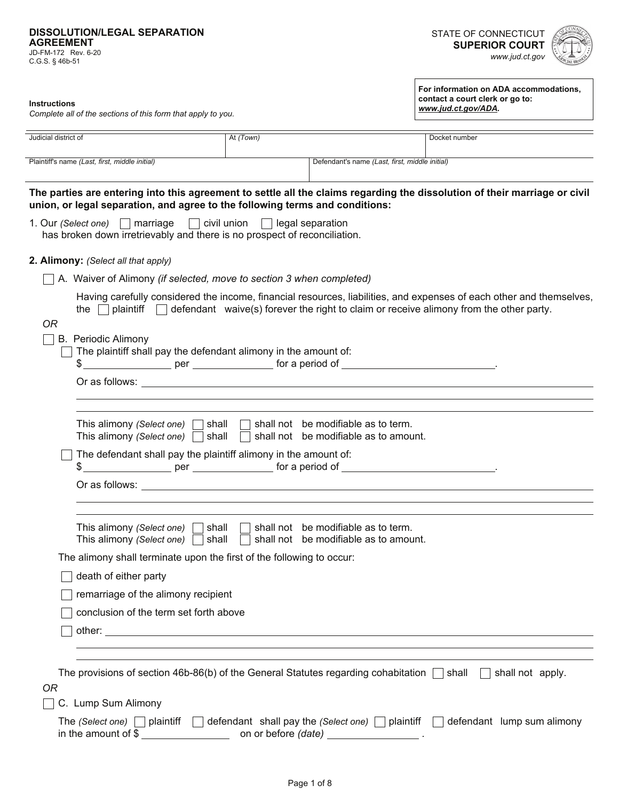#### **DISSOLUTION/LEGAL SEPARATION AGREEMENT**

JD-FM-172 Rev. 6-20 C.G.S. § 46b-51

**For information on ADA accommodations,** 

**contact a court clerk or go to:**  *www.jud.ct.gov/ADA.*



**Instructions** 

*Complete all of the sections of this form that apply to you.*

| Judicial district of                                                                                                                                                                                                                                                                                                | At (Town)               |                                                | Docket number                                                                                                        |
|---------------------------------------------------------------------------------------------------------------------------------------------------------------------------------------------------------------------------------------------------------------------------------------------------------------------|-------------------------|------------------------------------------------|----------------------------------------------------------------------------------------------------------------------|
| Plaintiff's name (Last, first, middle initial)                                                                                                                                                                                                                                                                      |                         | Defendant's name (Last, first, middle initial) |                                                                                                                      |
| The parties are entering into this agreement to settle all the claims regarding the dissolution of their marriage or civil                                                                                                                                                                                          |                         |                                                |                                                                                                                      |
| union, or legal separation, and agree to the following terms and conditions:                                                                                                                                                                                                                                        |                         |                                                |                                                                                                                      |
| 1. Our (Select one) $\Box$ marriage $\Box$ civil union<br>has broken down irretrievably and there is no prospect of reconciliation.                                                                                                                                                                                 | $\Box$ legal separation |                                                |                                                                                                                      |
| 2. Alimony: (Select all that apply)                                                                                                                                                                                                                                                                                 |                         |                                                |                                                                                                                      |
| A. Waiver of Alimony (if selected, move to section 3 when completed)                                                                                                                                                                                                                                                |                         |                                                |                                                                                                                      |
| the $\Box$ plaintiff $\Box$ defendant waive(s) forever the right to claim or receive alimony from the other party.<br>0R                                                                                                                                                                                            |                         |                                                | Having carefully considered the income, financial resources, liabilities, and expenses of each other and themselves, |
| <b>B.</b> Periodic Alimony<br>The plaintiff shall pay the defendant alimony in the amount of:                                                                                                                                                                                                                       |                         |                                                |                                                                                                                      |
| $\frac{1}{2}$ $\frac{1}{2}$ $\frac{1}{2}$ $\frac{1}{2}$ $\frac{1}{2}$ $\frac{1}{2}$ $\frac{1}{2}$ $\frac{1}{2}$ $\frac{1}{2}$ $\frac{1}{2}$ $\frac{1}{2}$ $\frac{1}{2}$ $\frac{1}{2}$ $\frac{1}{2}$ $\frac{1}{2}$ $\frac{1}{2}$ $\frac{1}{2}$ $\frac{1}{2}$ $\frac{1}{2}$ $\frac{1}{2}$ $\frac{1}{2}$ $\frac{1}{2}$ |                         |                                                |                                                                                                                      |
| Or as follows: the contract of the contract of the contract of the contract of the contract of the contract of the contract of the contract of the contract of the contract of the contract of the contract of the contract of                                                                                      |                         |                                                |                                                                                                                      |
|                                                                                                                                                                                                                                                                                                                     |                         |                                                |                                                                                                                      |
| This alimony (Select one) $\Box$ shall $\Box$ shall not be modifiable as to term.<br>This alimony (Select one) $\Box$ shall                                                                                                                                                                                         | $\Box$                  | shall not be modifiable as to amount.          |                                                                                                                      |
| The defendant shall pay the plaintiff alimony in the amount of:                                                                                                                                                                                                                                                     |                         |                                                |                                                                                                                      |
|                                                                                                                                                                                                                                                                                                                     |                         |                                                |                                                                                                                      |
| This alimony (Select one) $\Box$ shall $\Box$ shall not be modifiable as to term.                                                                                                                                                                                                                                   |                         |                                                |                                                                                                                      |
| This alimony (Select one) $\Box$ shall                                                                                                                                                                                                                                                                              | $\Box$                  | shall not be modifiable as to amount.          |                                                                                                                      |
| The alimony shall terminate upon the first of the following to occur:                                                                                                                                                                                                                                               |                         |                                                |                                                                                                                      |
| $\Box$ death of either party                                                                                                                                                                                                                                                                                        |                         |                                                |                                                                                                                      |
| remarriage of the alimony recipient                                                                                                                                                                                                                                                                                 |                         |                                                |                                                                                                                      |
| conclusion of the term set forth above                                                                                                                                                                                                                                                                              |                         |                                                |                                                                                                                      |
|                                                                                                                                                                                                                                                                                                                     |                         |                                                |                                                                                                                      |
|                                                                                                                                                                                                                                                                                                                     |                         |                                                |                                                                                                                      |
| The provisions of section 46b-86(b) of the General Statutes regarding cohabitation $\Box$ shall $\Box$ shall not apply.                                                                                                                                                                                             |                         |                                                |                                                                                                                      |
| <b>OR</b>                                                                                                                                                                                                                                                                                                           |                         |                                                |                                                                                                                      |
| C. Lump Sum Alimony                                                                                                                                                                                                                                                                                                 |                         |                                                |                                                                                                                      |
| The (Select one) $\Box$ plaintiff                                                                                                                                                                                                                                                                                   |                         |                                                | $\Box$ defendant shall pay the (Select one) $\Box$ plaintiff $\Box$ defendant lump sum alimony                       |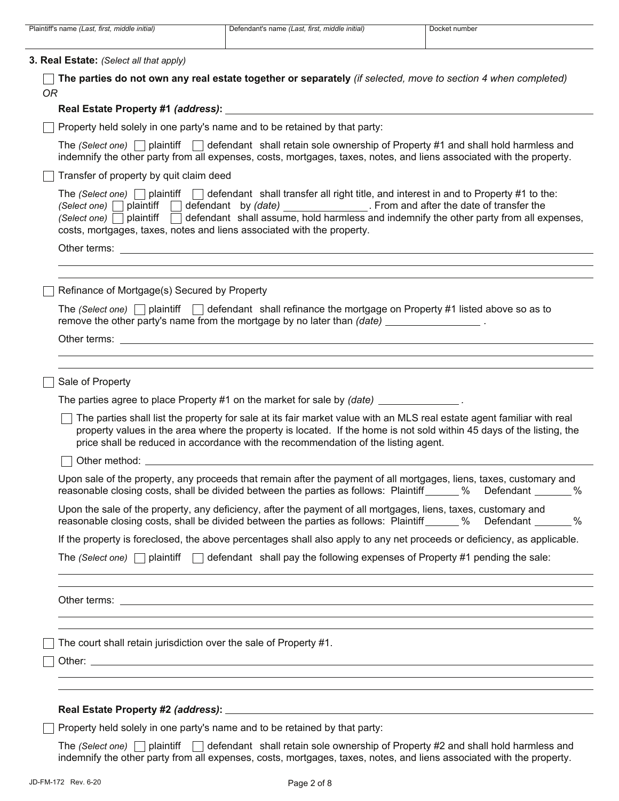| Plaintiff's name (Last, first, middle initial) | Defendant's name (Last, first, middle initial)                                                                                                                                                                                                                                                | Docket number                                                                                                                                                                                                                                     |
|------------------------------------------------|-----------------------------------------------------------------------------------------------------------------------------------------------------------------------------------------------------------------------------------------------------------------------------------------------|---------------------------------------------------------------------------------------------------------------------------------------------------------------------------------------------------------------------------------------------------|
| 3. Real Estate: (Select all that apply)        |                                                                                                                                                                                                                                                                                               |                                                                                                                                                                                                                                                   |
| <b>OR</b>                                      | The parties do not own any real estate together or separately (if selected, move to section 4 when completed)                                                                                                                                                                                 |                                                                                                                                                                                                                                                   |
| Real Estate Property #1 (address):             | and the control of the control of the control of the control of the control of the control of                                                                                                                                                                                                 |                                                                                                                                                                                                                                                   |
|                                                | Property held solely in one party's name and to be retained by that party:                                                                                                                                                                                                                    |                                                                                                                                                                                                                                                   |
|                                                |                                                                                                                                                                                                                                                                                               | The (Select one) $\Box$ plaintiff $\Box$ defendant shall retain sole ownership of Property #1 and shall hold harmless and<br>indemnify the other party from all expenses, costs, mortgages, taxes, notes, and liens associated with the property. |
| Transfer of property by quit claim deed        |                                                                                                                                                                                                                                                                                               |                                                                                                                                                                                                                                                   |
| $(Select one)$ plaintiff $\Box$                | The (Select one) $\Box$ plaintiff $\Box$ defendant shall transfer all right title, and interest in and to Property #1 to the:<br>(Select one) plaintiff defendant by (date) From and after the date of transfer the<br>costs, mortgages, taxes, notes and liens associated with the property. | defendant shall assume, hold harmless and indemnify the other party from all expenses,                                                                                                                                                            |
|                                                |                                                                                                                                                                                                                                                                                               |                                                                                                                                                                                                                                                   |
|                                                |                                                                                                                                                                                                                                                                                               |                                                                                                                                                                                                                                                   |
| Refinance of Mortgage(s) Secured by Property   |                                                                                                                                                                                                                                                                                               |                                                                                                                                                                                                                                                   |
|                                                | The (Select one) $\Box$ plaintiff $\Box$ defendant shall refinance the mortgage on Property #1 listed above so as to<br>remove the other party's name from the mortgage by no later than (date) ___________________.                                                                          |                                                                                                                                                                                                                                                   |
|                                                |                                                                                                                                                                                                                                                                                               |                                                                                                                                                                                                                                                   |
|                                                |                                                                                                                                                                                                                                                                                               |                                                                                                                                                                                                                                                   |
| Sale of Property                               | The parties agree to place Property #1 on the market for sale by (date) ______________.                                                                                                                                                                                                       |                                                                                                                                                                                                                                                   |
|                                                | price shall be reduced in accordance with the recommendation of the listing agent.                                                                                                                                                                                                            | The parties shall list the property for sale at its fair market value with an MLS real estate agent familiar with real<br>property values in the area where the property is located. If the home is not sold within 45 days of the listing, the   |
| Other method: __                               |                                                                                                                                                                                                                                                                                               |                                                                                                                                                                                                                                                   |
|                                                |                                                                                                                                                                                                                                                                                               | Upon sale of the property, any proceeds that remain after the payment of all mortgages, liens, taxes, customary and<br>reasonable closing costs, shall be divided between the parties as follows: Plaintiff 6000 % Defendant 6000 %               |
|                                                | Upon the sale of the property, any deficiency, after the payment of all mortgages, liens, taxes, customary and                                                                                                                                                                                | reasonable closing costs, shall be divided between the parties as follows: Plaintiff ______ % Defendant ______ %                                                                                                                                  |
|                                                |                                                                                                                                                                                                                                                                                               | If the property is foreclosed, the above percentages shall also apply to any net proceeds or deficiency, as applicable.                                                                                                                           |
|                                                | The (Select one) $\Box$ plaintiff $\Box$ defendant shall pay the following expenses of Property #1 pending the sale:                                                                                                                                                                          |                                                                                                                                                                                                                                                   |
|                                                |                                                                                                                                                                                                                                                                                               |                                                                                                                                                                                                                                                   |
|                                                |                                                                                                                                                                                                                                                                                               |                                                                                                                                                                                                                                                   |
|                                                | The court shall retain jurisdiction over the sale of Property #1.                                                                                                                                                                                                                             |                                                                                                                                                                                                                                                   |
|                                                |                                                                                                                                                                                                                                                                                               |                                                                                                                                                                                                                                                   |
|                                                |                                                                                                                                                                                                                                                                                               |                                                                                                                                                                                                                                                   |
|                                                |                                                                                                                                                                                                                                                                                               |                                                                                                                                                                                                                                                   |
|                                                | Property held solely in one party's name and to be retained by that party:                                                                                                                                                                                                                    |                                                                                                                                                                                                                                                   |
|                                                |                                                                                                                                                                                                                                                                                               | The (Select one) $\Box$ plaintiff $\Box$ defendant shall retain sole ownership of Property #2 and shall hold harmless and                                                                                                                         |

indemnify the other party from all expenses, costs, mortgages, taxes, notes, and liens associated with the property.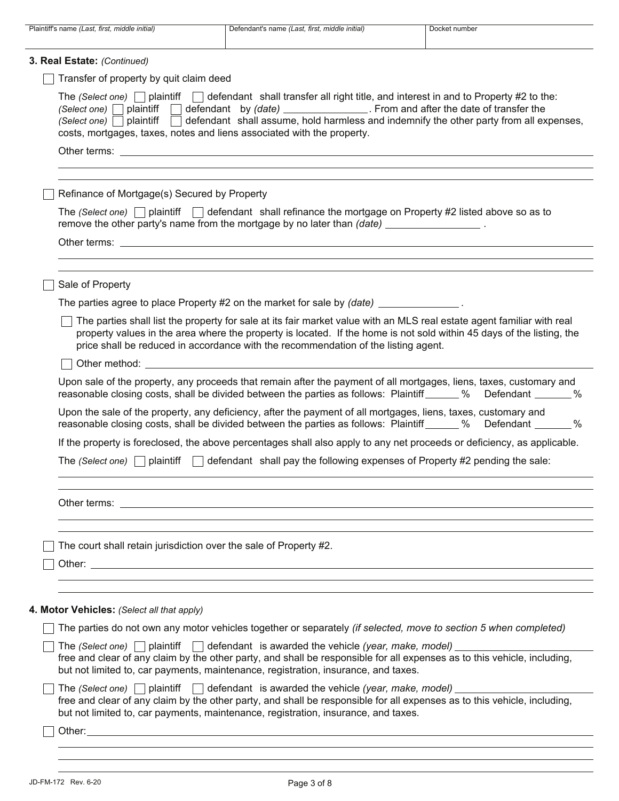| Plaintiff's name (Last, first, middle initial)     | Defendant's name (Last, first, middle initial)                                                                                                                                                                                                                                                                                                                                                                                               | Docket number |
|----------------------------------------------------|----------------------------------------------------------------------------------------------------------------------------------------------------------------------------------------------------------------------------------------------------------------------------------------------------------------------------------------------------------------------------------------------------------------------------------------------|---------------|
| 3. Real Estate: (Continued)                        |                                                                                                                                                                                                                                                                                                                                                                                                                                              |               |
| Transfer of property by quit claim deed            |                                                                                                                                                                                                                                                                                                                                                                                                                                              |               |
|                                                    | The (Select one) $\Box$ plaintiff $\Box$ defendant shall transfer all right title, and interest in and to Property #2 to the:<br>(Select one) plaintiff defendant by (date) ______________. From and after the date of transfer the<br>(Select one) $\Box$ plaintiff $\Box$ defendant shall assume, hold harmless and indemnify the other party from all expenses,<br>costs, mortgages, taxes, notes and liens associated with the property. |               |
|                                                    | Other terms: <u>experience</u> and the second second second second second second second second second second second second second second second second second second second second second second second second second second second                                                                                                                                                                                                          |               |
| Refinance of Mortgage(s) Secured by Property       |                                                                                                                                                                                                                                                                                                                                                                                                                                              |               |
|                                                    | The (Select one) $\Box$ plaintiff $\Box$ defendant shall refinance the mortgage on Property #2 listed above so as to<br>remove the other party's name from the mortgage by no later than (date) __________________.                                                                                                                                                                                                                          |               |
|                                                    | Other terms: Letter and the contract of the contract of the contract of the contract of the contract of the contract of the contract of the contract of the contract of the contract of the contract of the contract of the co                                                                                                                                                                                                               |               |
| Sale of Property                                   |                                                                                                                                                                                                                                                                                                                                                                                                                                              |               |
|                                                    | The parties agree to place Property #2 on the market for sale by $(date)$ ______________.                                                                                                                                                                                                                                                                                                                                                    |               |
|                                                    | The parties shall list the property for sale at its fair market value with an MLS real estate agent familiar with real<br>property values in the area where the property is located. If the home is not sold within 45 days of the listing, the<br>price shall be reduced in accordance with the recommendation of the listing agent.                                                                                                        |               |
|                                                    |                                                                                                                                                                                                                                                                                                                                                                                                                                              |               |
|                                                    | Upon sale of the property, any proceeds that remain after the payment of all mortgages, liens, taxes, customary and<br>reasonable closing costs, shall be divided between the parties as follows: Plaintiff ______ % Defendant ______ %                                                                                                                                                                                                      |               |
|                                                    | Upon the sale of the property, any deficiency, after the payment of all mortgages, liens, taxes, customary and<br>reasonable closing costs, shall be divided between the parties as follows: Plaintiff ______ % Defendant ______ %                                                                                                                                                                                                           |               |
|                                                    | If the property is foreclosed, the above percentages shall also apply to any net proceeds or deficiency, as applicable.                                                                                                                                                                                                                                                                                                                      |               |
| The (Select one) $\Box$ plaintiff<br>$\mathcal{A}$ | defendant shall pay the following expenses of Property #2 pending the sale:                                                                                                                                                                                                                                                                                                                                                                  |               |
|                                                    |                                                                                                                                                                                                                                                                                                                                                                                                                                              |               |
|                                                    | The court shall retain jurisdiction over the sale of Property #2.                                                                                                                                                                                                                                                                                                                                                                            |               |
|                                                    |                                                                                                                                                                                                                                                                                                                                                                                                                                              |               |
| 4. Motor Vehicles: (Select all that apply)         |                                                                                                                                                                                                                                                                                                                                                                                                                                              |               |
|                                                    | The parties do not own any motor vehicles together or separately (if selected, move to section 5 when completed)                                                                                                                                                                                                                                                                                                                             |               |
|                                                    | The (Select one) $\Box$ plaintiff $\Box$ defendant is awarded the vehicle (year, make, model) $\Box$<br>free and clear of any claim by the other party, and shall be responsible for all expenses as to this vehicle, including,<br>but not limited to, car payments, maintenance, registration, insurance, and taxes.                                                                                                                       |               |
|                                                    | The (Select one) $\Box$ plaintiff $\Box$ defendant is awarded the vehicle (year, make, model) $\Box$<br>free and clear of any claim by the other party, and shall be responsible for all expenses as to this vehicle, including,<br>but not limited to, car payments, maintenance, registration, insurance, and taxes.                                                                                                                       |               |
|                                                    |                                                                                                                                                                                                                                                                                                                                                                                                                                              |               |
|                                                    |                                                                                                                                                                                                                                                                                                                                                                                                                                              |               |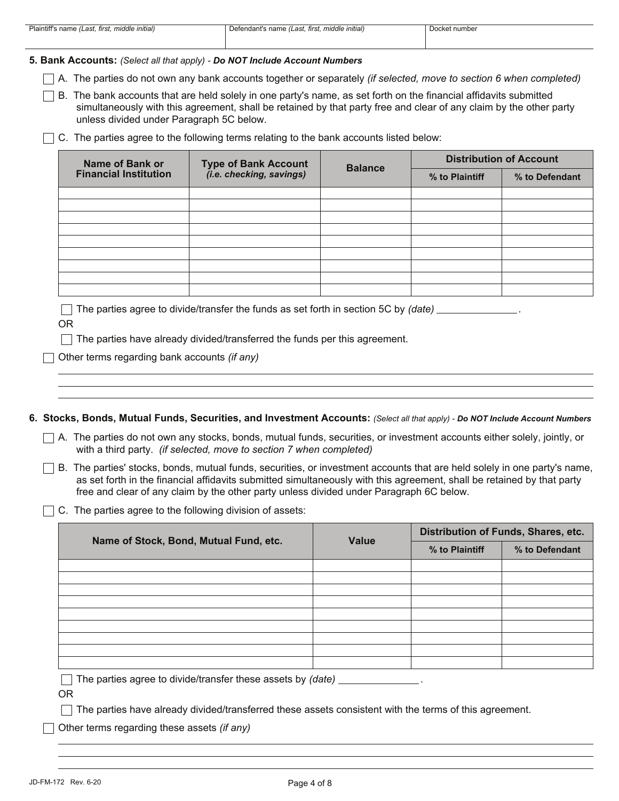# **5. Bank Accounts:** *(Select all that apply) - Do NOT Include Account Numbers*

A. The parties do not own any bank accounts together or separately *(if selected, move to section 6 when completed)*

 $\Box$  B. The bank accounts that are held solely in one party's name, as set forth on the financial affidavits submitted unless divided under Paragraph 5C below. simultaneously with this agreement, shall be retained by that party free and clear of any claim by the other party

 $\Box$  C. The parties agree to the following terms relating to the bank accounts listed below:

| Name of Bank or              |                                                      | <b>Balance</b> |                | <b>Distribution of Account</b> |  |  |
|------------------------------|------------------------------------------------------|----------------|----------------|--------------------------------|--|--|
| <b>Financial Institution</b> | <b>Type of Bank Account (i.e. checking, savings)</b> |                | % to Plaintiff | % to Defendant                 |  |  |
|                              |                                                      |                |                |                                |  |  |
|                              |                                                      |                |                |                                |  |  |
|                              |                                                      |                |                |                                |  |  |
|                              |                                                      |                |                |                                |  |  |
|                              |                                                      |                |                |                                |  |  |
|                              |                                                      |                |                |                                |  |  |
|                              |                                                      |                |                |                                |  |  |
|                              |                                                      |                |                |                                |  |  |
|                              |                                                      |                |                |                                |  |  |
|                              |                                                      |                |                |                                |  |  |

The parties agree to divide/transfer the funds as set forth in section 5C by *(date) .*

OR

 $\Box$  The parties have already divided/transferred the funds per this agreement.

Other terms regarding bank accounts *(if any)*

**6. Stocks, Bonds, Mutual Funds, Securities, and Investment Accounts:** *(Select all that apply) - Do NOT Include Account Numbers*

 $\Box$  A. The parties do not own any stocks, bonds, mutual funds, securities, or investment accounts either solely, jointly, or with a third party. *(if selected, move to section 7 when completed)*

free and clear of any claim by the other party unless divided under Paragraph 6C below.  $\Box$  B. The parties' stocks, bonds, mutual funds, securities, or investment accounts that are held solely in one party's name, as set forth in the financial affidavits submitted simultaneously with this agreement, shall be retained by that party

 $\Box$  C. The parties agree to the following division of assets:

| Name of Stock, Bond, Mutual Fund, etc. | Value |                | Distribution of Funds, Shares, etc. |
|----------------------------------------|-------|----------------|-------------------------------------|
|                                        |       | % to Plaintiff | % to Defendant                      |
|                                        |       |                |                                     |
|                                        |       |                |                                     |
|                                        |       |                |                                     |
|                                        |       |                |                                     |
|                                        |       |                |                                     |
|                                        |       |                |                                     |
|                                        |       |                |                                     |
|                                        |       |                |                                     |
|                                        |       |                |                                     |
| $-1$<br>$\cdots$                       |       |                |                                     |

 $\vert\,\,\vert$  The parties agree to divide/transfer these assets by *(date)* \_

OR

 $\Box$  The parties have already divided/transferred these assets consistent with the terms of this agreement.

Other terms regarding these assets *(if any)*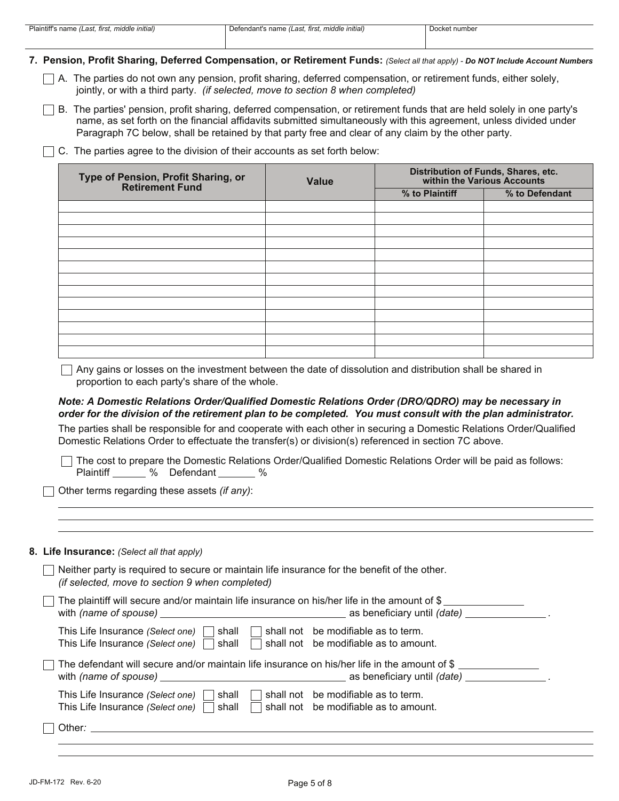**7. Pension, Profit Sharing, Deferred Compensation, or Retirement Funds:** *(Select all that apply) - Do NOT Include Account Numbers*

- $\Box$  A. The parties do not own any pension, profit sharing, deferred compensation, or retirement funds, either solely, jointly, or with a third party. *(if selected, move to section 8 when completed)*
- Paragraph 7C below, shall be retained by that party free and clear of any claim by the other party. name, as set forth on the financial affidavits submitted simultaneously with this agreement, unless divided under  $\Box$  B. The parties' pension, profit sharing, deferred compensation, or retirement funds that are held solely in one party's
- $\Box$  C. The parties agree to the division of their accounts as set forth below:

| Type of Pension, Profit Sharing, or<br>Retirement Fund | Value | Distribution of Funds, Shares, etc.<br>within the Various Accounts |                |  |
|--------------------------------------------------------|-------|--------------------------------------------------------------------|----------------|--|
|                                                        |       | % to Plaintiff                                                     | % to Defendant |  |
|                                                        |       |                                                                    |                |  |
|                                                        |       |                                                                    |                |  |
|                                                        |       |                                                                    |                |  |
|                                                        |       |                                                                    |                |  |
|                                                        |       |                                                                    |                |  |
|                                                        |       |                                                                    |                |  |
|                                                        |       |                                                                    |                |  |
|                                                        |       |                                                                    |                |  |
|                                                        |       |                                                                    |                |  |
|                                                        |       |                                                                    |                |  |
|                                                        |       |                                                                    |                |  |
|                                                        |       |                                                                    |                |  |
|                                                        |       |                                                                    |                |  |

 $\Box$  Any gains or losses on the investment between the date of dissolution and distribution shall be shared in proportion to each party's share of the whole.

# *Note: A Domestic Relations Order/Qualified Domestic Relations Order (DRO/QDRO) may be necessary in order for the division of the retirement plan to be completed. You must consult with the plan administrator.*

The parties shall be responsible for and cooperate with each other in securing a Domestic Relations Order/Qualified Domestic Relations Order to effectuate the transfer(s) or division(s) referenced in section 7C above.

Plaintiff \_\_\_\_\_\_\_ % Defendant \_\_\_\_\_\_\_ % The cost to prepare the Domestic Relations Order/Qualified Domestic Relations Order will be paid as follows:

Other terms regarding these assets *(if any)*:

#### **8. Life Insurance:** *(Select all that apply)*

| Neither party is required to secure or maintain life insurance for the benefit of the other.<br>(if selected, move to section 9 when completed) |                                                                              |
|-------------------------------------------------------------------------------------------------------------------------------------------------|------------------------------------------------------------------------------|
| The plaintiff will secure and/or maintain life insurance on his/her life in the amount of $\$$ _________<br>with (name of spouse)               |                                                                              |
| This Life Insurance (Select one)<br>shall<br>This Life Insurance (Select one)<br>shall                                                          | shall not be modifiable as to term.<br>shall not be modifiable as to amount. |
| The defendant will secure and/or maintain life insurance on his/her life in the amount of $\$$                                                  |                                                                              |
| This Life Insurance (Select one)<br>shall<br>This Life Insurance (Select one)<br>shall                                                          | shall not be modifiable as to term.<br>shall not be modifiable as to amount. |
| Other:                                                                                                                                          |                                                                              |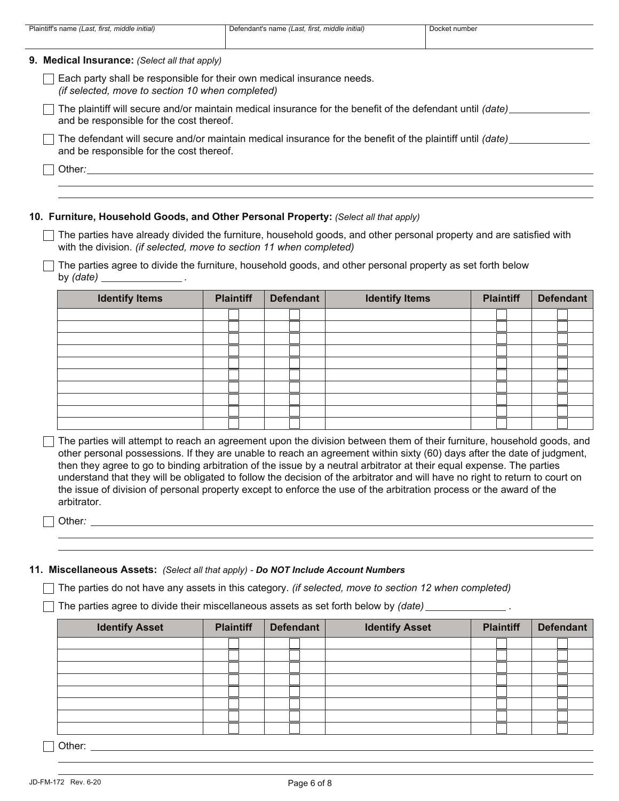| Plaintiff's name (Last, first, middle initial)   | Defendant's name (Last, first, middle initial)                                                            | Docket number |
|--------------------------------------------------|-----------------------------------------------------------------------------------------------------------|---------------|
| 9. Medical Insurance: (Select all that apply)    |                                                                                                           |               |
| (if selected, move to section 10 when completed) | Each party shall be responsible for their own medical insurance needs.                                    |               |
| and be responsible for the cost thereof.         | The plaintiff will secure and/or maintain medical insurance for the benefit of the defendant until (date) |               |
| and be responsible for the cost thereof.         | The defendant will secure and/or maintain medical insurance for the benefit of the plaintiff until (date) |               |
| Other:                                           |                                                                                                           |               |
|                                                  |                                                                                                           |               |

#### **10. Furniture, Household Goods, and Other Personal Property:** *(Select all that apply)*

with the division. *(if selected, move to section 11 when completed)*  $\Box$  The parties have already divided the furniture, household goods, and other personal property and are satisfied with

by *(date) .*  $\Box$  The parties agree to divide the furniture, household goods, and other personal property as set forth below

| <b>Identify Items</b> | <b>Plaintiff</b> | <b>Defendant</b> | <b>Identify Items</b> | <b>Plaintiff</b> | <b>Defendant</b> |
|-----------------------|------------------|------------------|-----------------------|------------------|------------------|
|                       |                  |                  |                       |                  |                  |
|                       |                  |                  |                       |                  |                  |
|                       |                  |                  |                       |                  |                  |
|                       |                  |                  |                       |                  |                  |
|                       |                  |                  |                       |                  |                  |
|                       |                  |                  |                       |                  |                  |
|                       |                  |                  |                       |                  |                  |
|                       |                  |                  |                       |                  |                  |
|                       |                  |                  |                       |                  |                  |
|                       |                  |                  |                       |                  |                  |

 $\Box$  The parties will attempt to reach an agreement upon the division between them of their furniture, household goods, and other personal possessions. If they are unable to reach an agreement within sixty (60) days after the date of judgment, then they agree to go to binding arbitration of the issue by a neutral arbitrator at their equal expense. The parties understand that they will be obligated to follow the decision of the arbitrator and will have no right to return to court on the issue of division of personal property except to enforce the use of the arbitration process or the award of the arbitrator.

Other: <u>Communication</u> Communication Communication Communication Communication Communication Communication Communication Communication Communication Communication Communication Communication Communication Communication Com

## **11. Miscellaneous Assets:** *(Select all that apply) - Do NOT Include Account Numbers*

The parties do not have any assets in this category. *(if selected, move to section 12 when completed)*

The parties agree to divide their miscellaneous assets as set forth below by *(date)* \_\_\_\_\_\_\_\_\_\_\_\_\_\_\_.

| <b>Identify Asset</b> | <b>Plaintiff</b> | <b>Defendant</b> | <b>Identify Asset</b> | <b>Plaintiff</b> | <b>Defendant</b> |
|-----------------------|------------------|------------------|-----------------------|------------------|------------------|
|                       |                  |                  |                       |                  |                  |
|                       |                  |                  |                       |                  |                  |
|                       |                  |                  |                       |                  |                  |
|                       |                  |                  |                       |                  |                  |
|                       |                  |                  |                       |                  |                  |
|                       |                  |                  |                       |                  |                  |
|                       |                  |                  |                       |                  |                  |
|                       |                  |                  |                       |                  |                  |

Other: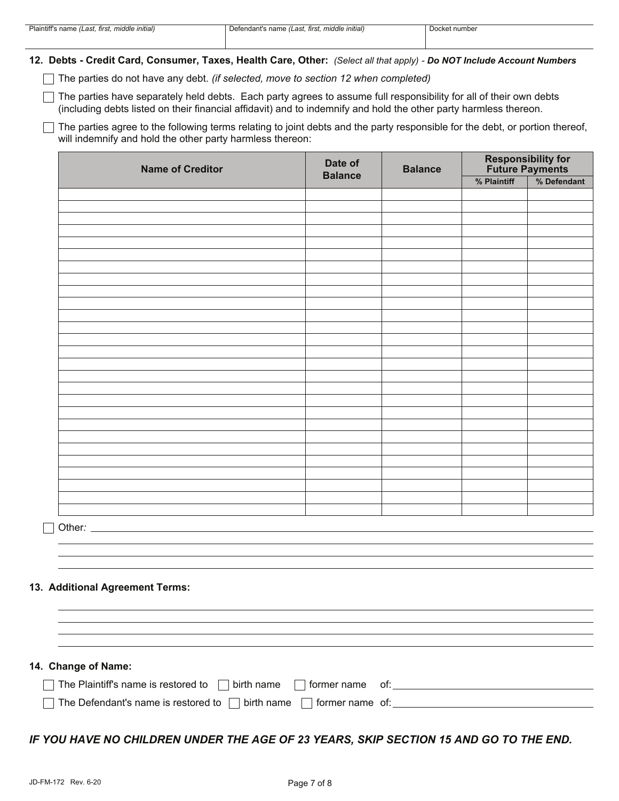**12. Debts - Credit Card, Consumer, Taxes, Health Care, Other:** *(Select all that apply) - Do NOT Include Account Numbers*

The parties do not have any debt. *(if selected, move to section 12 when completed)* 

(including debts listed on their financial affidavit) and to indemnify and hold the other party harmless thereon.  $\Box$  The parties have separately held debts. Each party agrees to assume full responsibility for all of their own debts

 $\Box$  The parties agree to the following terms relating to joint debts and the party responsible for the debt, or portion thereof, will indemnify and hold the other party harmless thereon:

| <b>Name of Creditor</b>         | Date of<br><b>Balance</b> | <b>Balance</b> | <b>Responsibility for<br/>Future Payments</b> |             |
|---------------------------------|---------------------------|----------------|-----------------------------------------------|-------------|
|                                 |                           |                | % Plaintiff                                   | % Defendant |
|                                 |                           |                |                                               |             |
|                                 |                           |                |                                               |             |
|                                 |                           |                |                                               |             |
|                                 |                           |                |                                               |             |
|                                 |                           |                |                                               |             |
|                                 |                           |                |                                               |             |
|                                 |                           |                |                                               |             |
|                                 |                           |                |                                               |             |
|                                 |                           |                |                                               |             |
|                                 |                           |                |                                               |             |
|                                 |                           |                |                                               |             |
|                                 |                           |                |                                               |             |
|                                 |                           |                |                                               |             |
|                                 |                           |                |                                               |             |
|                                 |                           |                |                                               |             |
|                                 |                           |                |                                               |             |
|                                 |                           |                |                                               |             |
|                                 |                           |                |                                               |             |
|                                 |                           |                |                                               |             |
|                                 |                           |                |                                               |             |
|                                 |                           |                |                                               |             |
|                                 |                           |                |                                               |             |
|                                 |                           |                |                                               |             |
|                                 |                           |                |                                               |             |
|                                 |                           |                |                                               |             |
|                                 |                           |                |                                               |             |
|                                 |                           |                |                                               |             |
|                                 |                           |                |                                               |             |
|                                 |                           |                |                                               |             |
|                                 |                           |                |                                               |             |
|                                 |                           |                |                                               |             |
|                                 |                           |                |                                               |             |
|                                 |                           |                |                                               |             |
|                                 |                           |                |                                               |             |
|                                 |                           |                |                                               |             |
|                                 |                           |                |                                               |             |
| 13. Additional Agreement Terms: |                           |                |                                               |             |
|                                 |                           |                |                                               |             |
|                                 |                           |                |                                               |             |
|                                 |                           |                |                                               |             |
|                                 |                           |                |                                               |             |

## **14. Change of Name:**

| $\Box$ The Plaintiff's name is restored to $\Box$ birth name $\Box$ former name of: |  |
|-------------------------------------------------------------------------------------|--|
| $\Box$ The Defendant's name is restored to $\Box$ birth name $\Box$ former name of: |  |

# *IF YOU HAVE NO CHILDREN UNDER THE AGE OF 23 YEARS, SKIP SECTION 15 AND GO TO THE END.*